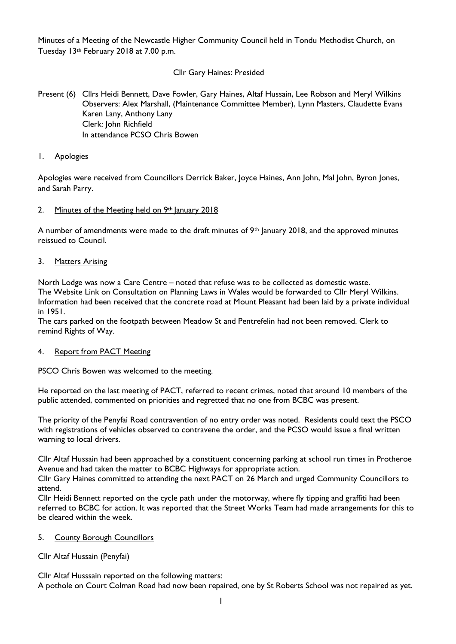Minutes of a Meeting of the Newcastle Higher Community Council held in Tondu Methodist Church, on Tuesday 13th February 2018 at 7.00 p.m.

### Cllr Gary Haines: Presided

Present (6) Cllrs Heidi Bennett, Dave Fowler, Gary Haines, Altaf Hussain, Lee Robson and Meryl Wilkins Observers: Alex Marshall, (Maintenance Committee Member), Lynn Masters, Claudette Evans Karen Lany, Anthony Lany Clerk: John Richfield In attendance PCSO Chris Bowen

### 1. Apologies

Apologies were received from Councillors Derrick Baker, Joyce Haines, Ann John, Mal John, Byron Jones, and Sarah Parry.

### 2. Minutes of the Meeting held on 9th January 2018

A number of amendments were made to the draft minutes of  $9<sup>th</sup>$  lanuary 2018, and the approved minutes reissued to Council.

### 3. Matters Arising

North Lodge was now a Care Centre – noted that refuse was to be collected as domestic waste. The Website Link on Consultation on Planning Laws in Wales would be forwarded to Cllr Meryl Wilkins. Information had been received that the concrete road at Mount Pleasant had been laid by a private individual in 1951.

The cars parked on the footpath between Meadow St and Pentrefelin had not been removed. Clerk to remind Rights of Way.

### 4. Report from PACT Meeting

PSCO Chris Bowen was welcomed to the meeting.

He reported on the last meeting of PACT, referred to recent crimes, noted that around 10 members of the public attended, commented on priorities and regretted that no one from BCBC was present.

The priority of the Penyfai Road contravention of no entry order was noted. Residents could text the PSCO with registrations of vehicles observed to contravene the order, and the PCSO would issue a final written warning to local drivers.

Cllr Altaf Hussain had been approached by a constituent concerning parking at school run times in Protheroe Avenue and had taken the matter to BCBC Highways for appropriate action.

Cllr Gary Haines committed to attending the next PACT on 26 March and urged Community Councillors to attend.

Cllr Heidi Bennett reported on the cycle path under the motorway, where fly tipping and graffiti had been referred to BCBC for action. It was reported that the Street Works Team had made arrangements for this to be cleared within the week.

#### 5. County Borough Councillors

### Cllr Altaf Hussain (Penyfai)

Cllr Altaf Husssain reported on the following matters:

A pothole on Court Colman Road had now been repaired, one by St Roberts School was not repaired as yet.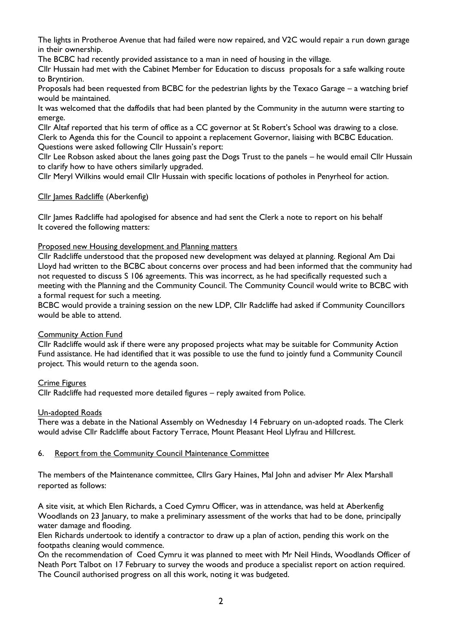The lights in Protheroe Avenue that had failed were now repaired, and V2C would repair a run down garage in their ownership.

The BCBC had recently provided assistance to a man in need of housing in the village.

Cllr Hussain had met with the Cabinet Member for Education to discuss proposals for a safe walking route to Bryntirion.

Proposals had been requested from BCBC for the pedestrian lights by the Texaco Garage – a watching brief would be maintained.

It was welcomed that the daffodils that had been planted by the Community in the autumn were starting to emerge.

Cllr Altaf reported that his term of office as a CC governor at St Robert's School was drawing to a close. Clerk to Agenda this for the Council to appoint a replacement Governor, liaising with BCBC Education. Questions were asked following Cllr Hussain's report:

Cllr Lee Robson asked about the lanes going past the Dogs Trust to the panels – he would email Cllr Hussain to clarify how to have others similarly upgraded.

Cllr Meryl Wilkins would email Cllr Hussain with specific locations of potholes in Penyrheol for action.

# Cllr James Radcliffe (Aberkenfig)

Cllr James Radcliffe had apologised for absence and had sent the Clerk a note to report on his behalf It covered the following matters:

## Proposed new Housing development and Planning matters

Cllr Radcliffe understood that the proposed new development was delayed at planning. Regional Am Dai Lloyd had written to the BCBC about concerns over process and had been informed that the community had not requested to discuss S 106 agreements. This was incorrect, as he had specifically requested such a meeting with the Planning and the Community Council. The Community Council would write to BCBC with a formal request for such a meeting.

BCBC would provide a training session on the new LDP, Cllr Radcliffe had asked if Community Councillors would be able to attend.

# Community Action Fund

Cllr Radcliffe would ask if there were any proposed projects what may be suitable for Community Action Fund assistance. He had identified that it was possible to use the fund to jointly fund a Community Council project. This would return to the agenda soon.

# Crime Figures

Cllr Radcliffe had requested more detailed figures – reply awaited from Police.

## Un-adopted Roads

There was a debate in the National Assembly on Wednesday 14 February on un-adopted roads. The Clerk would advise Cllr Radcliffe about Factory Terrace, Mount Pleasant Heol Llyfrau and Hillcrest.

# 6. Report from the Community Council Maintenance Committee

The members of the Maintenance committee, Cllrs Gary Haines, Mal John and adviser Mr Alex Marshall reported as follows:

A site visit, at which Elen Richards, a Coed Cymru Officer, was in attendance, was held at Aberkenfig Woodlands on 23 January, to make a preliminary assessment of the works that had to be done, principally water damage and flooding.

Elen Richards undertook to identify a contractor to draw up a plan of action, pending this work on the footpaths cleaning would commence.

On the recommendation of Coed Cymru it was planned to meet with Mr Neil Hinds, Woodlands Officer of Neath Port Talbot on 17 February to survey the woods and produce a specialist report on action required. The Council authorised progress on all this work, noting it was budgeted.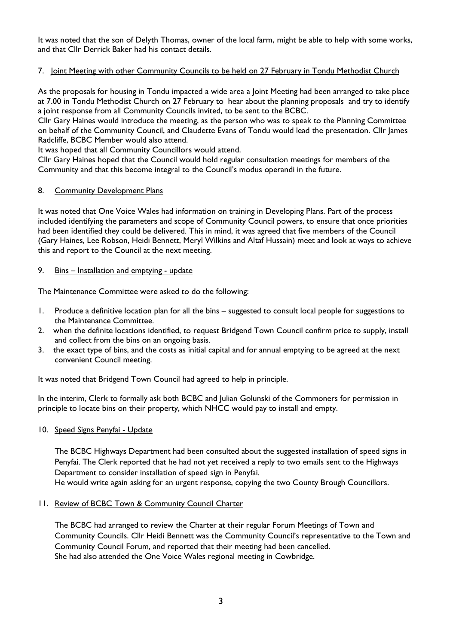It was noted that the son of Delyth Thomas, owner of the local farm, might be able to help with some works, and that Cllr Derrick Baker had his contact details.

### 7. Joint Meeting with other Community Councils to be held on 27 February in Tondu Methodist Church

As the proposals for housing in Tondu impacted a wide area a Joint Meeting had been arranged to take place at 7.00 in Tondu Methodist Church on 27 February to hear about the planning proposals and try to identify a joint response from all Community Councils invited, to be sent to the BCBC.

Cllr Gary Haines would introduce the meeting, as the person who was to speak to the Planning Committee on behalf of the Community Council, and Claudette Evans of Tondu would lead the presentation. Cllr James Radcliffe, BCBC Member would also attend.

It was hoped that all Community Councillors would attend.

Cllr Gary Haines hoped that the Council would hold regular consultation meetings for members of the Community and that this become integral to the Council's modus operandi in the future.

### 8. Community Development Plans

It was noted that One Voice Wales had information on training in Developing Plans. Part of the process included identifying the parameters and scope of Community Council powers, to ensure that once priorities had been identified they could be delivered. This in mind, it was agreed that five members of the Council (Gary Haines, Lee Robson, Heidi Bennett, Meryl Wilkins and Altaf Hussain) meet and look at ways to achieve this and report to the Council at the next meeting.

### 9. Bins - Installation and emptying - update

The Maintenance Committee were asked to do the following:

- 1. Produce a definitive location plan for all the bins suggested to consult local people for suggestions to the Maintenance Committee.
- 2. when the definite locations identified, to request Bridgend Town Council confirm price to supply, install and collect from the bins on an ongoing basis.
- 3. the exact type of bins, and the costs as initial capital and for annual emptying to be agreed at the next convenient Council meeting.

It was noted that Bridgend Town Council had agreed to help in principle.

In the interim, Clerk to formally ask both BCBC and Julian Golunski of the Commoners for permission in principle to locate bins on their property, which NHCC would pay to install and empty.

### 10. Speed Signs Penyfai - Update

The BCBC Highways Department had been consulted about the suggested installation of speed signs in Penyfai. The Clerk reported that he had not yet received a reply to two emails sent to the Highways Department to consider installation of speed sign in Penyfai.

He would write again asking for an urgent response, copying the two County Brough Councillors.

### 11. Review of BCBC Town & Community Council Charter

The BCBC had arranged to review the Charter at their regular Forum Meetings of Town and Community Councils. Cllr Heidi Bennett was the Community Council's representative to the Town and Community Council Forum, and reported that their meeting had been cancelled. She had also attended the One Voice Wales regional meeting in Cowbridge.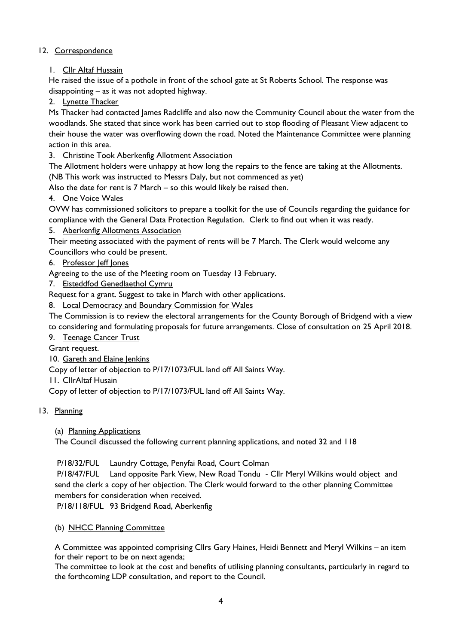### 12. Correspondence

### 1. Cllr Altaf Hussain

He raised the issue of a pothole in front of the school gate at St Roberts School. The response was disappointing – as it was not adopted highway.

2. Lynette Thacker

Ms Thacker had contacted James Radcliffe and also now the Community Council about the water from the woodlands. She stated that since work has been carried out to stop flooding of Pleasant View adjacent to their house the water was overflowing down the road. Noted the Maintenance Committee were planning action in this area.

### 3. Christine Took Aberkenfig Allotment Association

The Allotment holders were unhappy at how long the repairs to the fence are taking at the Allotments. (NB This work was instructed to Messrs Daly, but not commenced as yet)

Also the date for rent is 7 March – so this would likely be raised then.

### 4. One Voice Wales

OVW has commissioned solicitors to prepare a toolkit for the use of Councils regarding the guidance for compliance with the General Data Protection Regulation. Clerk to find out when it was ready.

### 5. Aberkenfig Allotments Association

Their meeting associated with the payment of rents will be 7 March. The Clerk would welcome any Councillors who could be present.

### 6. Professor Jeff Jones

Agreeing to the use of the Meeting room on Tuesday 13 February.

7. Eisteddfod Genedlaethol Cymru

Request for a grant. Suggest to take in March with other applications.

8. Local Democracy and Boundary Commission for Wales

The Commission is to review the electoral arrangements for the County Borough of Bridgend with a view to considering and formulating proposals for future arrangements. Close of consultation on 25 April 2018.

9. Teenage Cancer Trust

Grant request.

10. Gareth and Elaine Jenkins

Copy of letter of objection to P/17/1073/FUL land off All Saints Way.

11. CllrAltaf Husain

Copy of letter of objection to P/17/1073/FUL land off All Saints Way.

### 13. Planning

(a) Planning Applications

The Council discussed the following current planning applications, and noted 32 and 118

### P/18/32/FUL Laundry Cottage, Penyfai Road, Court Colman

P/18/47/FUL Land opposite Park View, New Road Tondu - Cllr Meryl Wilkins would object and send the clerk a copy of her objection. The Clerk would forward to the other planning Committee members for consideration when received.

P/18/118/FUL 93 Bridgend Road, Aberkenfig

### (b) NHCC Planning Committee

A Committee was appointed comprising Cllrs Gary Haines, Heidi Bennett and Meryl Wilkins – an item for their report to be on next agenda;

The committee to look at the cost and benefits of utilising planning consultants, particularly in regard to the forthcoming LDP consultation, and report to the Council.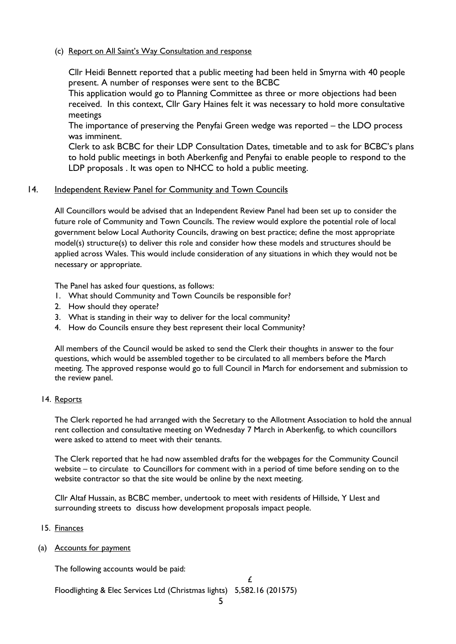### (c) Report on All Saint's Way Consultation and response

Cllr Heidi Bennett reported that a public meeting had been held in Smyrna with 40 people present. A number of responses were sent to the BCBC

This application would go to Planning Committee as three or more objections had been received. In this context, Cllr Gary Haines felt it was necessary to hold more consultative meetings

The importance of preserving the Penyfai Green wedge was reported – the LDO process was imminent.

Clerk to ask BCBC for their LDP Consultation Dates, timetable and to ask for BCBC's plans to hold public meetings in both Aberkenfig and Penyfai to enable people to respond to the LDP proposals . It was open to NHCC to hold a public meeting.

### 14. Independent Review Panel for Community and Town Councils

All Councillors would be advised that an Independent Review Panel had been set up to consider the future role of Community and Town Councils. The review would explore the potential role of local government below Local Authority Councils, drawing on best practice; define the most appropriate model(s) structure(s) to deliver this role and consider how these models and structures should be applied across Wales. This would include consideration of any situations in which they would not be necessary or appropriate.

The Panel has asked four questions, as follows:

- 1. What should Community and Town Councils be responsible for?
- 2. How should they operate?
- 3. What is standing in their way to deliver for the local community?
- 4. How do Councils ensure they best represent their local Community?

All members of the Council would be asked to send the Clerk their thoughts in answer to the four questions, which would be assembled together to be circulated to all members before the March meeting. The approved response would go to full Council in March for endorsement and submission to the review panel.

#### 14. Reports

The Clerk reported he had arranged with the Secretary to the Allotment Association to hold the annual rent collection and consultative meeting on Wednesday 7 March in Aberkenfig, to which councillors were asked to attend to meet with their tenants.

The Clerk reported that he had now assembled drafts for the webpages for the Community Council website – to circulate to Councillors for comment with in a period of time before sending on to the website contractor so that the site would be online by the next meeting.

Cllr Altaf Hussain, as BCBC member, undertook to meet with residents of Hillside, Y Llest and surrounding streets to discuss how development proposals impact people.

### 15. Finances

(a) Accounts for payment

The following accounts would be paid:

 $\mathcal{L}$ Floodlighting & Elec Services Ltd (Christmas lights) 5,582.16 (201575)